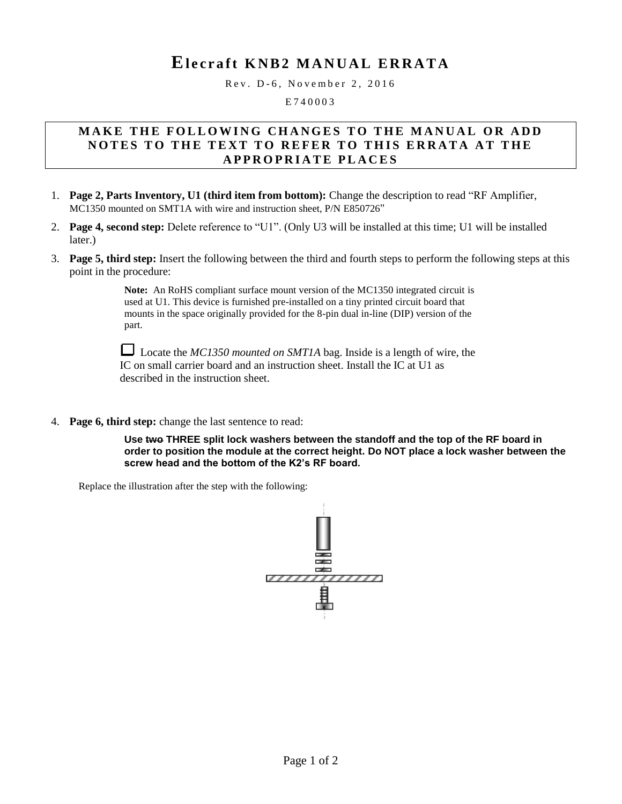## E<sub>lecraft</sub> KNB<sub>2</sub> MANUAL ERRATA

Rev. D-6, November 2, 2016

E 7 4 0 0 0 3

## **M A K E T H E F O L L O W I N G C H A N G E S T O T H E M A N U A L O R A D D NOTES TO THE TEXT TO REFER TO THIS ERRATA AT THE A P P R O P R I A T E P L A C E S**

- 1. **Page 2, Parts Inventory, U1 (third item from bottom):** Change the description to read "RF Amplifier, MC1350 mounted on SMT1A with wire and instruction sheet, P/N E850726"
- 2. **Page 4, second step:** Delete reference to "U1". (Only U3 will be installed at this time; U1 will be installed later.)
- 3. **Page 5, third step:** Insert the following between the third and fourth steps to perform the following steps at this point in the procedure:

**Note:** An RoHS compliant surface mount version of the MC1350 integrated circuit is used at U1. This device is furnished pre-installed on a tiny printed circuit board that mounts in the space originally provided for the 8-pin dual in-line (DIP) version of the part.

Locate the *MC1350* mounted on SMT1A bag. Inside is a length of wire, the IC on small carrier board and an instruction sheet. Install the IC at U1 as described in the instruction sheet.

4. **Page 6, third step:** change the last sentence to read:

**Use two THREE split lock washers between the standoff and the top of the RF board in order to position the module at the correct height. Do NOT place a lock washer between the screw head and the bottom of the K2's RF board.** 

Replace the illustration after the step with the following: